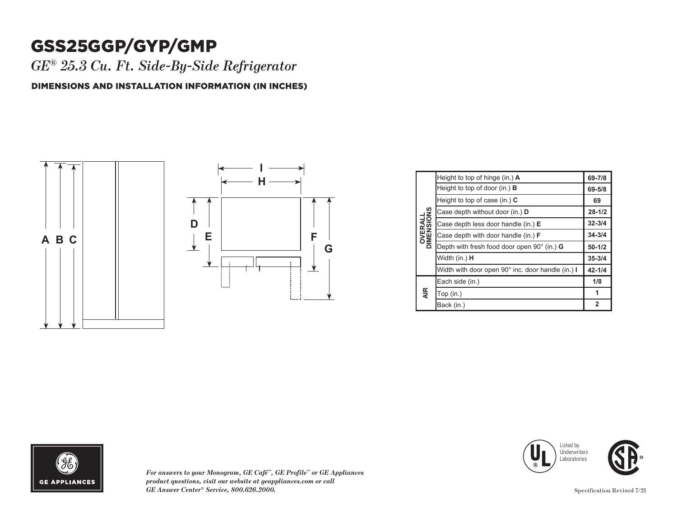## GSS25GGP/GYP/GMP

*GE® 25.3 Cu. Ft. Side-By-Side Refrigerator*

DIMENSIONS AND INSTALLATION INFORMATION (IN INCHES)



| <b>OVERALL</b><br>DIMENSIONS | Height to top of hinge (in.) A                    | 69-7/8         |
|------------------------------|---------------------------------------------------|----------------|
|                              | Height to top of door (in.) $\bf{B}$              | 69-5/8         |
|                              | Height to top of case (in.) C                     | 69             |
|                              | Case depth without door (in.) D                   | $28 - 1/2$     |
|                              | Case depth less door handle (in.) E               | $32 - 3/4$     |
|                              | Case depth with door handle (in.) <b>F</b>        | $34 - 3/4$     |
|                              | Depth with fresh food door open 90° (in.) G       | $50 - 1/2$     |
|                              | Width (in.) H                                     | $35 - 3/4$     |
|                              | Width with door open 90° inc. door handle (in.) I | $42 - 1/4$     |
| <b>AIR</b>                   | Each side (in.)                                   | 1/8            |
|                              | Top (in.)                                         | 1              |
|                              | Back (in.)                                        | $\overline{2}$ |



*For answers to your Monogram, GE Café™, GE Profile™ or GE Appliances*  **1** *product questions, visit our website at geappliances.com or call*  **2** *GE Answer Center® Service, 800.626.2000.* Specification Revised 7/21  $\mathcal{L}$  in  $\mathcal{L}$